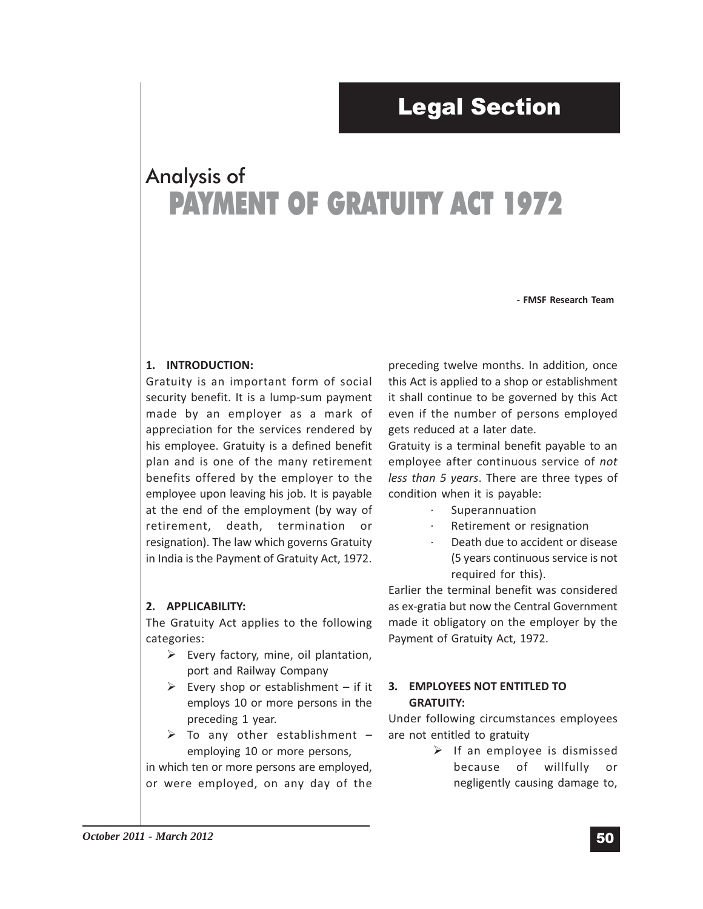# Legal Section

# Analysis of PAYMENT OF GRATUITY ACT 1972

- FMSF Research Team

#### 1. INTRODUCTION:

Gratuity is an important form of social security benefit. It is a lump-sum payment made by an employer as a mark of appreciation for the services rendered by his employee. Gratuity is a defined benefit plan and is one of the many retirement benefits offered by the employer to the employee upon leaving his job. It is payable at the end of the employment (by way of retirement, death, termination or resignation). The law which governs Gratuity in India is the Payment of Gratuity Act, 1972.

#### 2. APPLICABILITY:

The Gratuity Act applies to the following categories:

- Every factory, mine, oil plantation, port and Railway Company
- $\triangleright$  Every shop or establishment if it employs 10 or more persons in the preceding 1 year.
- > To any other establishment employing 10 or more persons,

in which ten or more persons are employed, or were employed, on any day of the

preceding twelve months. In addition, once this Act is applied to a shop or establishment it shall continue to be governed by this Act even if the number of persons employed gets reduced at a later date.

Gratuity is a terminal benefit payable to an employee after continuous service of not less than 5 years. There are three types of condition when it is payable:

- **Superannuation**
- Retirement or resignation
- Death due to accident or disease (5 years continuous service is not required for this).

Earlier the terminal benefit was considered as ex-gratia but now the Central Government made it obligatory on the employer by the Payment of Gratuity Act, 1972.

### 3. EMPLOYEES NOT ENTITLED TO GRATUITY:

Under following circumstances employees are not entitled to gratuity

> $\triangleright$  If an employee is dismissed because of willfully or negligently causing damage to,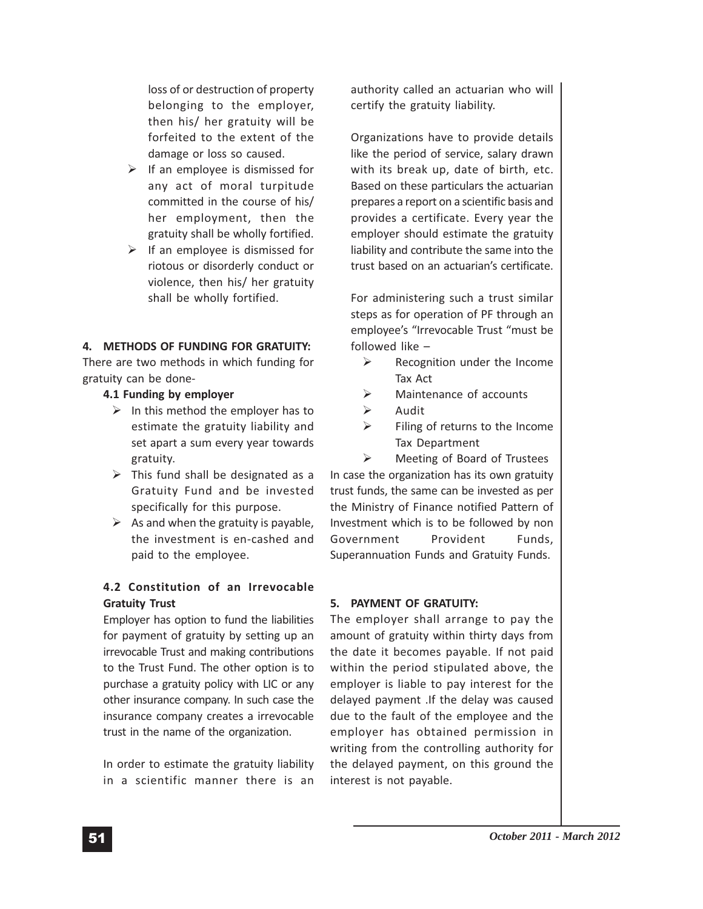loss of or destruction of property belonging to the employer, then his/ her gratuity will be forfeited to the extent of the damage or loss so caused.

- $\blacktriangleright$  If an employee is dismissed for any act of moral turpitude committed in the course of his/ her employment, then the gratuity shall be wholly fortified.
- > If an employee is dismissed for riotous or disorderly conduct or violence, then his/ her gratuity shall be wholly fortified.

#### 4. METHODS OF FUNDING FOR GRATUITY:

There are two methods in which funding for gratuity can be done-

### 4.1 Funding by employer

- $\triangleright$  In this method the employer has to estimate the gratuity liability and set apart a sum every year towards gratuity.
- $\triangleright$  This fund shall be designated as a Gratuity Fund and be invested specifically for this purpose.
- $\triangleright$  As and when the gratuity is payable, the investment is en-cashed and paid to the employee.

# 4.2 Constitution of an Irrevocable Gratuity Trust

Employer has option to fund the liabilities for payment of gratuity by setting up an irrevocable Trust and making contributions to the Trust Fund. The other option is to purchase a gratuity policy with LIC or any other insurance company. In such case the insurance company creates a irrevocable trust in the name of the organization.

In order to estimate the gratuity liability in a scientific manner there is an

authority called an actuarian who will certify the gratuity liability.

Organizations have to provide details like the period of service, salary drawn with its break up, date of birth, etc. Based on these particulars the actuarian prepares a report on a scientific basis and provides a certificate. Every year the employer should estimate the gratuity liability and contribute the same into the trust based on an actuarian's certificate.

For administering such a trust similar steps as for operation of PF through an employee's "Irrevocable Trust "must be followed like –

- $\blacktriangleright$  Recognition under the Income Tax Act
- $\blacktriangleright$ Maintenance of accounts
- $\blacktriangleright$ Audit
- $\blacktriangleright$  Filing of returns to the Income Tax Department

 $\blacktriangleright$  Meeting of Board of Trustees In case the organization has its own gratuity trust funds, the same can be invested as per the Ministry of Finance notified Pattern of Investment which is to be followed by non Government Provident Funds, Superannuation Funds and Gratuity Funds.

# 5. PAYMENT OF GRATUITY:

The employer shall arrange to pay the amount of gratuity within thirty days from the date it becomes payable. If not paid within the period stipulated above, the employer is liable to pay interest for the delayed payment .If the delay was caused due to the fault of the employee and the employer has obtained permission in writing from the controlling authority for the delayed payment, on this ground the interest is not payable.